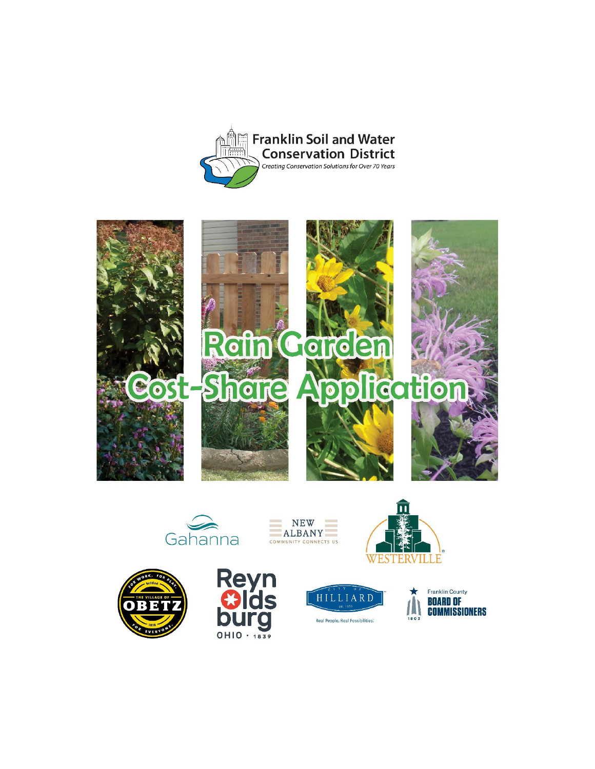















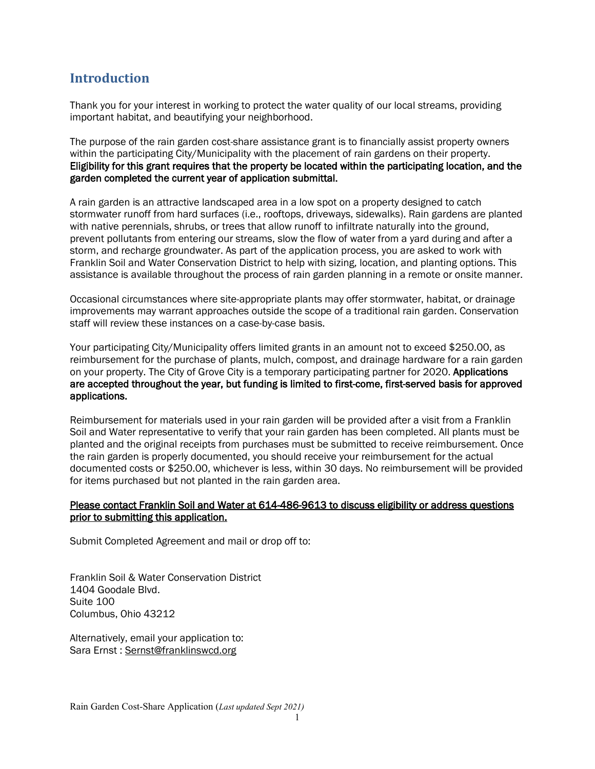## **Introduction**

Thank you for your interest in working to protect the water quality of our local streams, providing important habitat, and beautifying your neighborhood.

The purpose of the rain garden cost-share assistance grant is to financially assist property owners within the participating City/Municipality with the placement of rain gardens on their property. Eligibility for this grant requires that the property be located within the participating location, and the garden completed the current year of application submittal.

A rain garden is an attractive landscaped area in a low spot on a property designed to catch stormwater runoff from hard surfaces (i.e., rooftops, driveways, sidewalks). Rain gardens are planted with native perennials, shrubs, or trees that allow runoff to infiltrate naturally into the ground, prevent pollutants from entering our streams, slow the flow of water from a yard during and after a storm, and recharge groundwater. As part of the application process, you are asked to work with Franklin Soil and Water Conservation District to help with sizing, location, and planting options. This assistance is available throughout the process of rain garden planning in a remote or onsite manner.

Occasional circumstances where site-appropriate plants may offer stormwater, habitat, or drainage improvements may warrant approaches outside the scope of a traditional rain garden. Conservation staff will review these instances on a case-by-case basis.

Your participating City/Municipality offers limited grants in an amount not to exceed \$250.00, as reimbursement for the purchase of plants, mulch, compost, and drainage hardware for a rain garden on your property. The City of Grove City is a temporary participating partner for 2020. Applications are accepted throughout the year, but funding is limited to first-come, first-served basis for approved applications.

Reimbursement for materials used in your rain garden will be provided after a visit from a Franklin Soil and Water representative to verify that your rain garden has been completed. All plants must be planted and the original receipts from purchases must be submitted to receive reimbursement. Once the rain garden is properly documented, you should receive your reimbursement for the actual documented costs or \$250.00, whichever is less, within 30 days. No reimbursement will be provided for items purchased but not planted in the rain garden area.

#### Please contact Franklin Soil and Water at 614-486-9613 to discuss eligibility or address questions prior to submitting this application.

Submit Completed Agreement and mail or drop off to:

Franklin Soil & Water Conservation District 1404 Goodale Blvd. Suite 100 Columbus, Ohio 43212

Alternatively, email your application to: Sara Ernst : [Sernst@franklinswcd.org](mailto:Sernst@franklinswcd.org)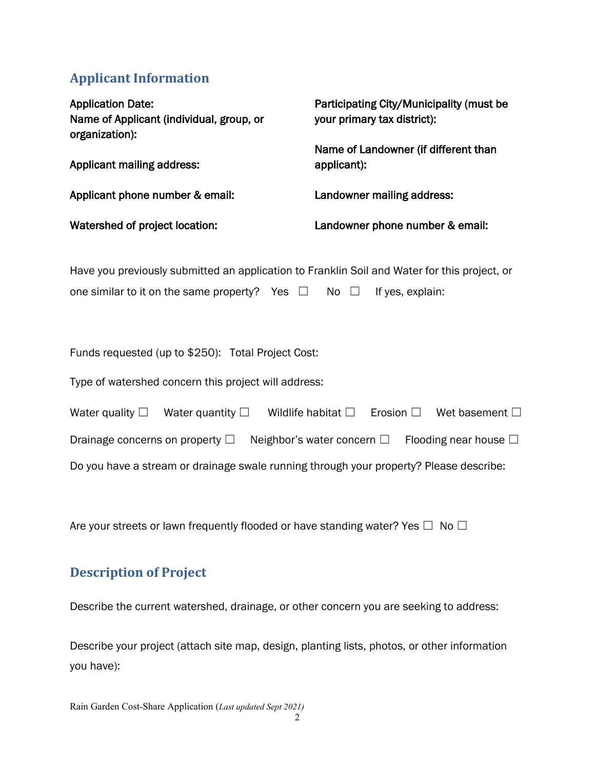# **Applicant Information**

| <b>Application Date:</b><br>Name of Applicant (individual, group, or<br>organization): | Participating City/Municipality (must be<br>your primary tax district): |
|----------------------------------------------------------------------------------------|-------------------------------------------------------------------------|
| Applicant mailing address:                                                             | Name of Landowner (if different than<br>applicant):                     |
| Applicant phone number & email:                                                        | Landowner mailing address:                                              |
| Watershed of project location:                                                         | Landowner phone number & email:                                         |

Have you previously submitted an application to Franklin Soil and Water for this project, or one similar to it on the same property? Yes  $\Box$  No  $\Box$  If yes, explain:

Funds requested (up to \$250): Total Project Cost:

Type of watershed concern this project will address:

| Water quality $\square$                                                                | Water quantity $\square$ | Wildlife habitat $\square$         | Erosion $\square$ | Wet basement $\square$        |  |  |
|----------------------------------------------------------------------------------------|--------------------------|------------------------------------|-------------------|-------------------------------|--|--|
| Drainage concerns on property $\square$                                                |                          | Neighbor's water concern $\square$ |                   | Flooding near house $\square$ |  |  |
| Do you have a stream or drainage swale running through your property? Please describe: |                          |                                    |                   |                               |  |  |

Are your streets or lawn frequently flooded or have standing water? Yes  $\Box$  No  $\Box$ 

### **Description of Project**

Describe the current watershed, drainage, or other concern you are seeking to address:

Describe your project (attach site map, design, planting lists, photos, or other information you have):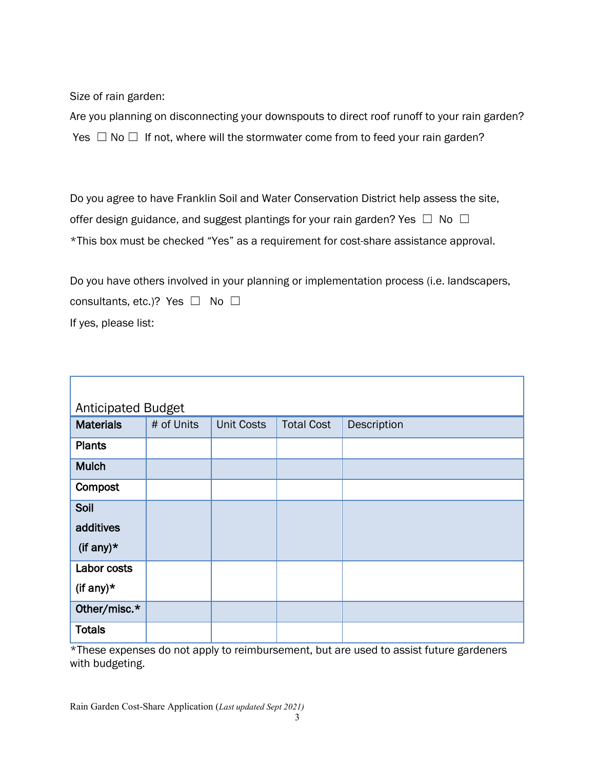Size of rain garden:

Are you planning on disconnecting your downspouts to direct roof runoff to your rain garden? Yes  $\Box$  No  $\Box$  If not, where will the stormwater come from to feed your rain garden?

Do you agree to have Franklin Soil and Water Conservation District help assess the site, offer design guidance, and suggest plantings for your rain garden? Yes  $\Box$  No  $\Box$ \*This box must be checked "Yes" as a requirement for cost-share assistance approval.

Do you have others involved in your planning or implementation process (i.e. landscapers, consultants, etc.)? Yes □ No □ If yes, please list:

| <b>Anticipated Budget</b> |            |                   |                   |             |  |  |  |  |
|---------------------------|------------|-------------------|-------------------|-------------|--|--|--|--|
| <b>Materials</b>          | # of Units | <b>Unit Costs</b> | <b>Total Cost</b> | Description |  |  |  |  |
| <b>Plants</b>             |            |                   |                   |             |  |  |  |  |
| <b>Mulch</b>              |            |                   |                   |             |  |  |  |  |
| Compost                   |            |                   |                   |             |  |  |  |  |
| Soil                      |            |                   |                   |             |  |  |  |  |
| additives                 |            |                   |                   |             |  |  |  |  |
| (if any) $*$              |            |                   |                   |             |  |  |  |  |
| Labor costs               |            |                   |                   |             |  |  |  |  |
| (if any) $*$              |            |                   |                   |             |  |  |  |  |
| Other/misc.*              |            |                   |                   |             |  |  |  |  |
| <b>Totals</b>             |            |                   |                   |             |  |  |  |  |

\*These expenses do not apply to reimbursement, but are used to assist future gardeners with budgeting.